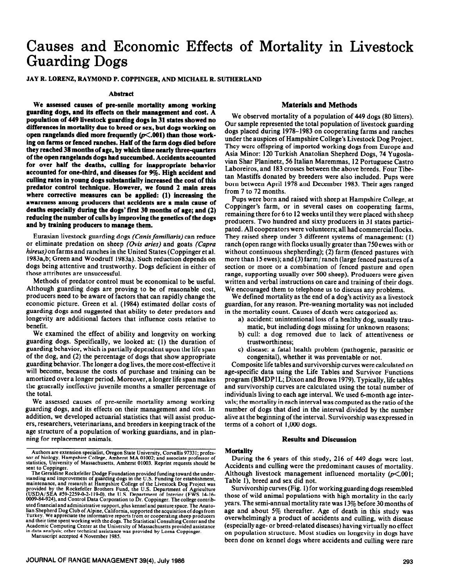# **Causes and Economic Effects of Mortality in Livestock Guarding Dogs**

# **JAY R. LORENZ, RAYMOND P. COPPINCER, AND MICHAEL R. SUTHERLAND**

#### **Abstract**

**We assessed causes of pre-senile mortality among working guarding dogs, and its effects on their manrgement and cost. A population of 449 livestock guarding dogs in 31 states showed no differences in mortality due to breed or sex, but dogs working on open rangelands died more frequently (p<.OOl) than those working on farms or fenced ranches. Half of the farm dogs died before they reached 38 months of age, by which time nearly three-quarters of the open rangelands dogs had succumbed. Accidents accounted for over half the deaths, culling for inappropriate behavior accounted for one-third, and diseases for 9%. High accident and culling rates in young dogs substantially increased the cost of this predator control technique. However, we found 2 main areas where corrective measures can be applied: (1) increasing the awareness among producers that accidents are a main cause of deaths especially during the dogs' first 30 months of age; and (2) reducing the number of culls by improving the genetics of the dogs and by training producers to manage them.** 

Eurasian livestock guarding dogs *(Canis familiaris)* can reduce or eliminate predation on sheep *(Ovis aries)* and goats *(Capra hireus)* on farms and ranches in the United States (Coppinger et al. 1983a,b; Green and Woodruff 1983a). Such reduction depends on dogs being attentive and trustworthy. Dogs deficient in either of those attributes are unsuccessful.

Methods of predator control must be economical to be useful. Although guarding dogs are proving to be of reasonable cost, producers need to be aware of factors that can rapidly change the economic picture. Green et al. (1984) estimated dollar costs of guarding dogs and suggested that ability to deter predators and longevity are additional factors that influence costs relative to benefit.

We examined the effect of ability and longevity on working guarding dogs. Specifically, we looked at: (1) the duration of guarding behavior, which is partially dependent upon the life span of the dog, and (2) the percentage of dogs that show appropriate guarding behavior. The longer a dog lives, the more cost-effective it will become, because the costs of purchase and training can be amortized over a longer period. Moreover, a longer life span makes the generally ineffective juvenile months a smaller percentage of the total.

We assessed causes of pre-senile mortality among working guarding dogs, and its effects on their management and cost. In addition, we developed actuarial statistics that will assist producers, researchers, veterinarians, and breeders in keeping track of the age structure of a population of working guardians, and in planning for replacement animals.

Manuscript accepted 4 November 1985.

# **Materials and Methods**

We observed mortality of a population of 449 dogs (80 litters). Our sample represented the total population of livestock guarding dogs placed during 1978-1983 on cooperating farms and ranches under the auspices of Hampshire College's Livestock Dog Project. They were offspring of imported working dogs from Europe and Asia Minor: 120 Turkish Anatolian Shepherd Dogs, 74 Yugoslavian Shar Planinetz, 56 Italian Maremmas, I2 Portuguese Castro Laboreiros, and I83 crosses between the above breeds. Four Tibetan Mastiffs donated by breeders were also included. Pups were born between April 1978 and December 1983. Their ages ranged from 7 to 72 months.

Pups were born and raised with sheep at Hampshire College, at Coppinger's farm, or in several cases on cooperating farms, remaining there for 6 to I2 weeks until they were placed with sheep producers. Two hundred and sixty producers in 31 states participated. All cooperators were volunteers; all had commercial flocks. They raised sheep under 3 different systems of management: (1) ranch (open range with flocks usually greater than 750 ewes with or without continuous shepherding); (2) farm (fenced pastures with more than 15 ewes); and (3) farm/ ranch (large fenced pastures of a section or more or a combination of fenced pasture and open range, supporting usually over 500 sheep). Producers were given written and verbal instructions on care and training of their dogs. We encouraged them to telephone us to discuss any problems.

We defined mortality as the end of a dog's activity as a livestock guardian, for any reason. Pre-weaning mortality was not included in the mortality count. Causes of death were categorized as:

- a) accident: unintentional loss of a healthy dog, usually traumatic, but including dogs missing for unknown reasons;
- b) cull: a dog removed due to lack of attentiveness or trustworthiness;
- c) disease: a fatal health problem (pathogenic, parasitic or congenital), whether it was preventable or not.

Composite life tables and survivorship curves were calculated on age-specific data using the Life Tables and Survivor Functions program (BMDPIL; Dixon and Brown 1979). Typically, life tables and survivorship curves are calculated using the total number of individuals living to each age interval. We used 6-month age intervals; the mortality in each interval was computed as the ratio of the number of dogs that died in the interval divided by the number alive at the beginning of the interval. Survivorship was expressed in terms of a cohort of 1,000 dogs.

# **Results and Discussion**

#### **Mortality**

During the 6 years of this study, 216 of 449 dogs were lost. Accidents and culling were the predominant causes of mortality. Although livestock management influenced mortality  $(p<.001)$ ; Table I), breed and sex did not.

Survivorship curves (Fig. 1) for working guarding dogs resembled those of wild animal populations with high mortality in the early years. The semi-annual mortality rate was 13% before 30 months of age and about 5% thereafter. Age of death in this study was overwhelmingly a product of accidents and culling, with disease (especially age- or breed-related diseases) having virtually no effect on population structure. Most studies on longevity in dogs have been done on kennel dogs where accidents and culling were rare

Authors are extension specialist, Oregon State University, Corvallis 97331; professor of biology, Hampshire College, Amherst MA 01002; and associate professor of statistics, University of Massachusetts, Amherst 01003. Reprint requests should be

Em to Coppinger.<br>The Geraldine Rockefeller Dodge Foundation provided funding toward the understanding and improvement of guarding dogs in the U.S. Funding for establishment, maintenance, and research at Hampshire College o 0009-84-924). and Control Data Corporation to Dr. Coppinger. The college contributed intancial and administrative support, plus kennel and pasture space. The Anato-<br>lian Shepherd Dog Club of Alpine, California, supported the acquisition of dogs from<br>Turkey. We appreciate the informative reports from o **and their time spent working with the dogs.** The Statistical Consulting Center and the Academic Computing Center at the University of Massachusetts provided assistance m data analysis; other technical assistance was provided by Lorna Coppinger.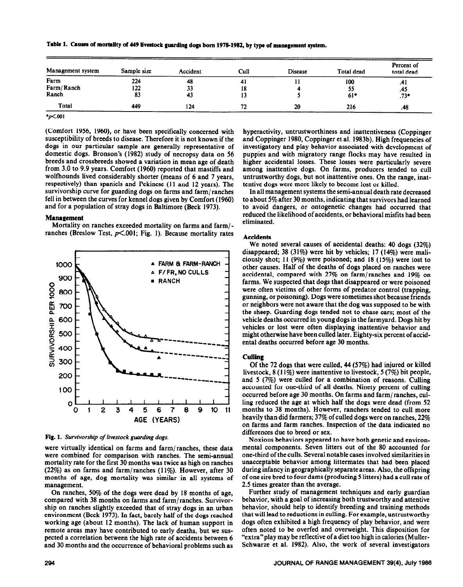**Table 1. Causes of mortality of 449 livestock guarding dogs born 1978-1982, by type of management system.** 

| Management system | Sample size | Accident | Cull | <b>Disease</b> | Total dead | Percent of<br>total dead |
|-------------------|-------------|----------|------|----------------|------------|--------------------------|
| Farm              | 224         | 48       | 41   |                | 100        | .41                      |
| Farm/Ranch        | 122         | 33       | 18   |                | 55         | .45                      |
| Ranch             | 83          | 43       | 13   |                | $61*$      | $.73*$                   |
| Total             | 449         | 124      | 72   | 20             | 216        | .48                      |
| $*_{p}<.001$      |             |          |      |                |            |                          |

(Comfort 1956, 1960), or have been specifically concerned with susceptibility of breeds to disease. Therefore it is not known if the dogs in our particular sample are generally representative of domestic dogs. Bronson's (1982) study of necropsy data on 56 breeds and crossbreeds showed a variation in mean age of death from 3.0 to 9.9 years. Comfort (1960) reported that mastiffs and wolfhounds lived considerably shorter (means of 6 and 7 years, respectively) than spaniels and Pekinese (11 and 12 years). The survivorship curve for guarding dogs on farms and farm/ ranches fell in between the curves for kennel dogs given by Comfort (1960) and for a population of stray dogs in Baltimore (Beck 1973).

# **Management**

Mortality on ranches exceeded mortality on farms and farm/ ranches (Breslow Test,  $p\leq 0.001$ ; Fig. 1). Because mortality rates



*Fig. 1. Survivorship of livestock guarding dogs.* 

were virtually identical on farms and farm/ranches, these data were combined for comparison with ranches. The semi-annual mortality rate for the first 30 months was twice as high on ranches  $(22\%)$  as on farms and farm/ranches  $(11\%)$ . However, after 30 months of age, dog mortality was similar in all systems of management.

ship on ranches slightly exceeded that of stray dogs in an urban and 30 months and the occurrence of behavioral problems such as hyperactivity, untrustworthiness and inattentiveness (Coppinger and Coppinger 1980, Coppinger et al. 1983b). High frequencies of investigatory and play behavior associated with development of puppies and with migratory range flocks may have resulted in higher accidental losses. These losses were particularly severe among inattentive dogs. On farms, producers tended to cull untrustworthy dogs, but not inattentive ones. On the range, inattentive dogs were more likely to become lost or killed.

In all management systems the semi-annual death rate decreased to about 5% after 30 months, indicating that survivors had learned to avoid dangers, or ontogenetic changes had occurred that reduced the likelihood of accidents, or behavioral misfits had been eliminated.

#### **Accidents**

**We** noted several causes of accidental deaths: 40 dogs (32%) disappeared; 38 (31%) were hit by vehicles; 17 (14%) were maliciously shot; 11 (9%) were poisoned; and 18 (15%) were lost to other causes. Half of the deaths of dogs placed on ranches were accidental, compared with 27% on farm/ranches and 19% on farms. We suspected that dogs that disappeared or were poisoned were often victims of other forms of predator control (trapping, gunning, or poisoning). Dogs were sometimes shot because friends or neighbors were not aware that the dog was supposed to be with the sheep. Guarding dogs tended not to chase cars; most of the vehicle deaths occurred in young dogs in the farmyard. Dogs hit by vehicles or lost were often displaying inattentive behavior and might otherwise have been culled later. Eighty-six percent of accidental deaths occurred before age 30 months.

#### Culling

Of the 72 dogs that were culled, 44 (57%) had injured or killed livestock, 8 (11%) were inattentive to livestock, 5 (7%) bit people, and 5 (7%) were culled for a combination of reasons. Culling accounted for one-third of all deaths. Ninety percent of culling occurred before age 30 months. On farms and farm/ranches, culling reduced the age at which half the dogs were dead (from 52 months to 38 months). However, ranchers tended to cull more heavily than did farmers; 37% of culled dogs were on ranches, 22% on farms and farm ranches. Inspection of the data indicated no differences due to breed or sex.

Noxious behaviors appeared to have both genetic and environmental components. Seven litters out of the 80 accounted for one-third of the culls. Several notable cases involved similarities in unacceptable behavior among littermates that had been placed during infancy in geographically separate areas. Also, the offspring of one sire bred to four dams (producing 5 litters) had a cull rate of 2.5 times greater than the average.

On ranches, 50% of the dogs were dead by 18 months of age, Further study of management techniques and early guardian<br>In mared with 38 months on farms and farm/ranches. Survivor-behavior, with a goal of increasing both trus compared with 38 months on farms and farm/ranches. Survivor-<br>ship on ranches slightly exceeded that of strav dogs in an urban<br>behavior, should help to identify breeding and training methods environment (Beck 1973). In fact, barely half of the dogs reached that will lead to reductions in culling. For example, untrustworthy working age (about 12 months). The lack of human support in dogs often exhibited a high working age (about 12 months). The lack of human support in dogs often exhibited a high frequency of play behavior, and were<br>remote areas may have contributed to early deaths but we sus-<br>often noted to be overfed and overw remote areas may have contributed to early deaths, but we sus-<br>pected a correlation between the high rate of accidents between 6 "extra" play may be reflective of a diet too high in calories (Mullerpected a correlation between the high rate of accidents between 6 "extra" play may be reflective of a diet too high in calories (Muller-<br>and 30 months and the occurrence of behavioral problems such as Schwarze et al. 1982)